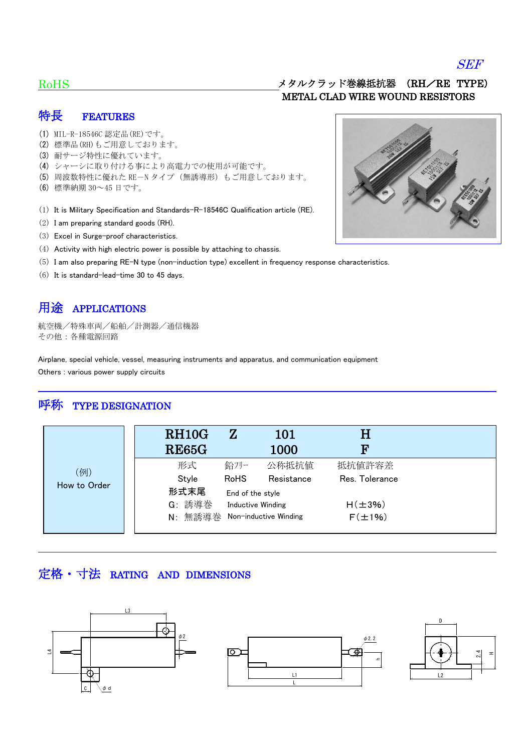#### SEF

#### RoHS

#### メタルクラッド巻線抵抗器 (RH/RE TYPE) METAL CLAD WIRE WOUND RESISTORS

#### 特長 FEATURES

- (1) MIL-R-18546C 認定品(RE)です。
- (2) 標準品(RH)もご用意しております。
- (3) 耐サージ特性に優れています。
- (4) シャーシに取り付ける事により高電力での使用が可能です。
- (5) 周波数特性に優れた RE-N タイプ(無誘導形)もご用意しております。
- (6) 標準納期 30~45 日です。
- (1) It is Military Specification and Standards-R-18546C Qualification article (RE).
- (2) I am preparing standard goods (RH).
- (3) Excel in Surge-proof characteristics.
- (4) Activity with high electric power is possible by attaching to chassis.
- (5) I am also preparing RE-N type (non-induction type) excellent in frequency response characteristics.
- (6) It is standard-lead-time 30 to 45 days.

## 用途 APPLICATIONS

航空機/特殊車両/船舶/計測器/通信機器 その他:各種電源回路

Airplane, special vehicle, vessel, measuring instruments and apparatus, and communication equipment Others : various power supply circuits

### 呼称 TYPE DESIGNATION

|              | RH <sub>10</sub> G<br>${\rm Z}$<br>101<br><b>RE65G</b><br>1000 | Η<br>F         |
|--------------|----------------------------------------------------------------|----------------|
| (例)          | 鉛フリー<br>形式<br>公称抵抗值                                            | 抵抗值許容差         |
|              | Style<br><b>RoHS</b><br>Resistance                             | Res. Tolerance |
| How to Order | 形式末尾<br>End of the style                                       |                |
|              | G: 誘導巻<br>Inductive Winding                                    | $H(\pm 3\%)$   |
|              | N: 無誘導巻<br>Non-inductive Winding                               | $F(\pm 1\%)$   |

## 定格・寸法 RATING AND DIMENSIONS